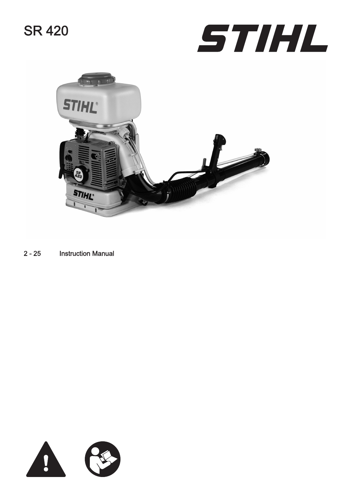# SR 420





[2](#page-1-0) - [25](#page-24-0) Instruction Manual

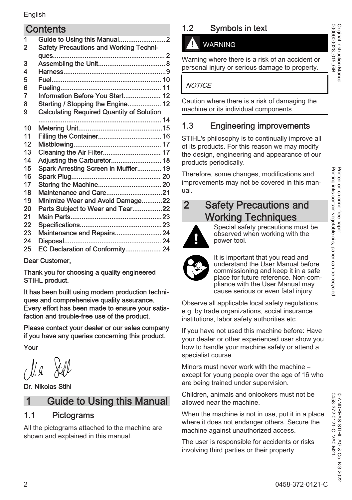#### <span id="page-1-0"></span>**Contents**

| 1  |                                                  |
|----|--------------------------------------------------|
| 2  | <b>Safety Precautions and Working Techni-</b>    |
|    |                                                  |
| 3  |                                                  |
| 4  |                                                  |
| 5  |                                                  |
| 6  |                                                  |
| 7  | Information Before You Start 12                  |
| 8  | Starting / Stopping the Engine 12                |
| 9  | <b>Calculating Required Quantity of Solution</b> |
|    |                                                  |
| 10 |                                                  |
| 11 |                                                  |
| 12 |                                                  |
| 13 | Cleaning the Air Filter 17                       |
| 14 |                                                  |
| 15 | Spark Arresting Screen in Muffler 19             |
| 16 |                                                  |
| 17 |                                                  |
| 18 | Maintenance and Care21                           |
| 19 | Minimize Wear and Avoid Damage22                 |
| 20 | Parts Subject to Wear and Tear22                 |
| 21 |                                                  |
| 22 |                                                  |
| 23 | Maintenance and Repairs 24                       |
| 24 |                                                  |
| 25 | EC Declaration of Conformity 24                  |
|    |                                                  |

Dear Customer,

Thank you for choosing a quality engineered STIHL product.

It has been built using modern production techni‐ ques and comprehensive quality assurance. Every effort has been made to ensure your satis‐ faction and trouble-free use of the product.

Please contact your dealer or our sales company if you have any queries concerning this product.

Your

Dr. Nikolas Stihl

# 1 Guide to Using this Manual

# 1.1 Pictograms

All the pictograms attached to the machine are shown and explained in this manual.

# 1.2 Symbols in text

# WARNING

Warning where there is a risk of an accident or personal injury or serious damage to property.

#### **NOTICE**

Caution where there is a risk of damaging the machine or its individual components.

# 1.3 Engineering improvements

STIHL's philosophy is to continually improve all of its products. For this reason we may modify the design, engineering and appearance of our products periodically.

Therefore, some changes, modifications and improvements may not be covered in this manual.

# 2 Safety Precautions and Working Techniques



Special safety precautions must be observed when working with the power tool.



It is important that you read and understand the User Manual before commissioning and keep it in a safe place for future reference. Non-com‐ pliance with the User Manual may cause serious or even fatal injury.

Observe all applicable local safety regulations, e.g. by trade organizations, social insurance institutions, labor safety authorities etc.

If you have not used this machine before: Have your dealer or other experienced user show you how to handle your machine safely or attend a specialist course.

Minors must never work with the machine – except for young people over the age of 16 who are being trained under supervision.

Children, animals and onlookers must not be allowed near the machine.

When the machine is not in use, put it in a place where it does not endanger others. Secure the machine against unauthorized access.

The user is responsible for accidents or risks involving third parties or their property.

Original Instruction Manual<br>0000000028\_015\_GB 0000000028\_015\_GB Original Instruction Manual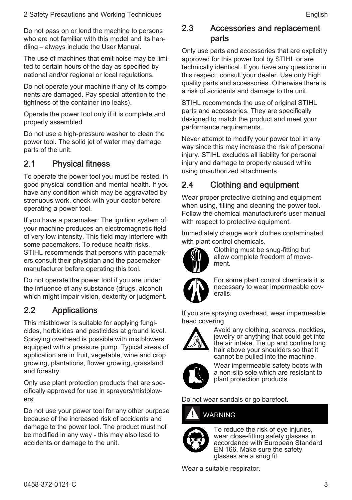Do not pass on or lend the machine to persons who are not familiar with this model and its handling – always include the User Manual.

The use of machines that emit noise may be limi‐ ted to certain hours of the day as specified by national and/or regional or local regulations.

Do not operate your machine if any of its compo‐ nents are damaged. Pay special attention to the tightness of the container (no leaks).

Operate the power tool only if it is complete and properly assembled.

Do not use a high-pressure washer to clean the power tool. The solid jet of water may damage parts of the unit.

#### 2.1 Physical fitness

To operate the power tool you must be rested, in good physical condition and mental health. If you have any condition which may be aggravated by strenuous work, check with your doctor before operating a power tool.

If you have a pacemaker: The ignition system of your machine produces an electromagnetic field of very low intensity. This field may interfere with some pacemakers. To reduce health risks, STIHL recommends that persons with pacemak‐ ers consult their physician and the pacemaker manufacturer before operating this tool.

Do not operate the power tool if you are under the influence of any substance (drugs, alcohol) which might impair vision, dexterity or judgment.

#### 2.2 Applications

This mistblower is suitable for applying fungi‐ cides, herbicides and pesticides at ground level. Spraying overhead is possible with mistblowers equipped with a pressure pump. Typical areas of application are in fruit, vegetable, wine and crop growing, plantations, flower growing, grassland and forestry.

Only use plant protection products that are spe‐ cifically approved for use in sprayers/mistblow‐ ers.

Do not use your power tool for any other purpose because of the increased risk of accidents and damage to the power tool. The product must not be modified in any way - this may also lead to accidents or damage to the unit.

#### 2.3 Accessories and replacement parts

Only use parts and accessories that are explicitly approved for this power tool by STIHL or are technically identical. If you have any questions in this respect, consult your dealer. Use only high quality parts and accessories. Otherwise there is a risk of accidents and damage to the unit.

STIHL recommends the use of original STIHL parts and accessories. They are specifically designed to match the product and meet your performance requirements.

Never attempt to modify your power tool in any way since this may increase the risk of personal injury. STIHL excludes all liability for personal injury and damage to property caused while using unauthorized attachments.

## 2.4 Clothing and equipment

Wear proper protective clothing and equipment when using, filling and cleaning the power tool. Follow the chemical manufacturer's user manual with respect to protective equipment.

Immediately change work clothes contaminated with plant control chemicals.



Clothing must be snug-fitting but allow complete freedom of move‐ ment.



For some plant control chemicals it is necessary to wear impermeable cov‐ eralls.

If you are spraying overhead, wear impermeable head covering.



Avoid any clothing, scarves, neckties, jewelry or anything that could get into the air intake. Tie up and confine long hair above your shoulders so that it cannot be pulled into the machine.



Wear impermeable safety boots with a non-slip sole which are resistant to plant protection products.

Do not wear sandals or go barefoot.

# WARNING



To reduce the risk of eve injuries. wear close-fitting safety glasses in accordance with European Standard EN 166. Make sure the safety glasses are a snug fit.

Wear a suitable respirator.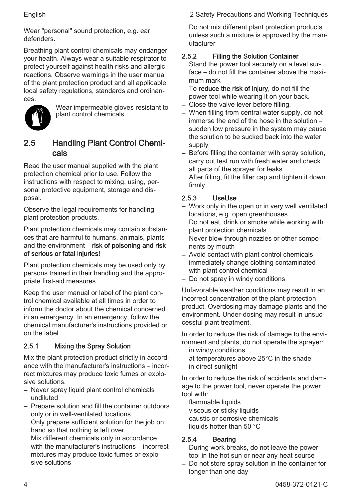Wear "personal" sound protection, e.g. ear defenders.

Breathing plant control chemicals may endanger your health. Always wear a suitable respirator to protect yourself against health risks and allergic reactions. Observe warnings in the user manual of the plant protection product and all applicable local safety regulations, standards and ordinan‐ ces.



Wear impermeable gloves resistant to plant control chemicals.

#### 2.5 Handling Plant Control Chemi‐ cals

Read the user manual supplied with the plant protection chemical prior to use. Follow the instructions with respect to mixing, using, per‐ sonal protective equipment, storage and disposal.

Observe the legal requirements for handling plant protection products.

Plant protection chemicals may contain substan‐ ces that are harmful to humans, animals, plants and the environment – risk of poisoning and risk of serious or fatal injuries!

Plant protection chemicals may be used only by persons trained in their handling and the appro‐ priate first-aid measures.

Keep the user manual or label of the plant con‐ trol chemical available at all times in order to inform the doctor about the chemical concerned in an emergency. In an emergency, follow the chemical manufacturer's instructions provided or on the label.

#### 2.5.1 Mixing the Spray Solution

Mix the plant protection product strictly in accord‐ ance with the manufacturer's instructions – incor‐ rect mixtures may produce toxic fumes or explo‐ sive solutions.

- Never spray liquid plant control chemicals undiluted
- Prepare solution and fill the container outdoors only or in well-ventilated locations.
- Only prepare sufficient solution for the job on hand so that nothing is left over
- Mix different chemicals only in accordance with the manufacturer's instructions – incorrect mixtures may produce toxic fumes or explo‐ sive solutions

English 2 Safety Precautions and Working Techniques

– Do not mix different plant protection products unless such a mixture is approved by the man‐ ufacturer

#### 2.5.2 Filling the Solution Container

- Stand the power tool securely on a level sur‐ face – do not fill the container above the maximum mark
- $-$  To reduce the risk of injury, do not fill the power tool while wearing it on your back.
- Close the valve lever before filling.
- When filling from central water supply, do not immerse the end of the hose in the solution – sudden low pressure in the system may cause the solution to be sucked back into the water supply
- Before filling the container with spray solution, carry out test run with fresh water and check all parts of the sprayer for leaks
- After filling, fit the filler cap and tighten it down firmly

#### 2.5.3 UseUse

- Work only in the open or in very well ventilated locations, e.g. open greenhouses
- Do not eat, drink or smoke while working with plant protection chemicals
- Never blow through nozzles or other compo‐ nents by mouth
- Avoid contact with plant control chemicals immediately change clothing contaminated with plant control chemical
- Do not spray in windy conditions

Unfavorable weather conditions may result in an incorrect concentration of the plant protection product. Overdosing may damage plants and the environment. Under-dosing may result in unsuc‐ cessful plant treatment.

In order to reduce the risk of damage to the envi‐ ronment and plants, do not operate the sprayer:

- in windy conditions
- at temperatures above 25°C in the shade
- in direct sunlight

In order to reduce the risk of accidents and dam‐ age to the power tool, never operate the power tool with:

- flammable liquids
- viscous or sticky liquids
- caustic or corrosive chemicals
- $-$  liquids hotter than 50 °C

#### 2.5.4 Bearing

- During work breaks, do not leave the power tool in the hot sun or near any heat source
- Do not store spray solution in the container for longer than one day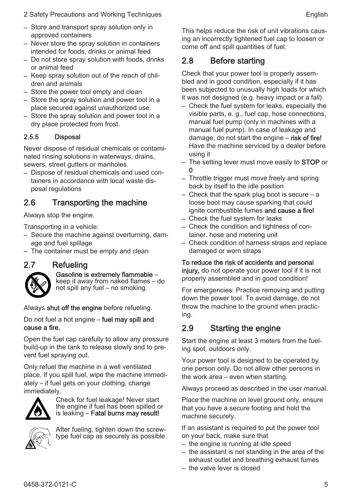- 2 Safety Precautions and Working Techniques **English** English
- Store and transport spray solution only in approved containers
- Never store the spray solution in containers intended for foods, drinks or animal feed
- Do not store spray solution with foods, drinks or animal feed
- Keep spray solution out of the reach of chil‐ dren and animals
- Store the power tool empty and clean
- Store the spray solution and power tool in a place secured against unauthorized use.
- Store the spray solution and power tool in a dry place protected from frost.

#### 2.5.5 Disposal

Never dispose of residual chemicals or contami‐ nated rinsing solutions in waterways, drains, sewers, street gutters or manholes.

– Dispose of residual chemicals and used con‐ tainers in accordance with local waste dis‐ posal regulations

## 2.6 Transporting the machine

Always stop the engine.

Transporting in a vehicle:

- Secure the machine against overturning, dam‐ age and fuel spillage
- The container must be empty and clean

#### 2.7 Refueling



#### Gasoline is extremely flammable –

keep it away from naked flames – do not spill any fuel – no smoking.

Always shut off the engine before refueling.

Do not fuel a hot engine – fuel may spill and cause a fire.

Open the fuel cap carefully to allow any pressure build-up in the tank to release slowly and to pre‐ vent fuel spraying out.

Only refuel the machine in a well ventilated place. If you spill fuel, wipe the machine immedi‐ ately – if fuel gets on your clothing, change immediately.



Check for fuel leakage! Never start the engine if fuel has been spilled or is leaking – Fatal burns may result!



After fueling, tighten down the screwtype fuel cap as securely as possible.

This helps reduce the risk of unit vibrations caus‐ ing an incorrectly tightened fuel cap to loosen or come off and spill quantities of fuel.

#### 2.8 Before starting

Check that your power tool is properly assem‐ bled and in good condition, especially if it has been subjected to unusually high loads for which it was not designed (e.g. heavy impact or a fall).

- Check the fuel system for leaks, especially the visible parts, e. g., fuel cap, hose connections, manual fuel pump (only in machines with a manual fuel pump). In case of leakage and damage, do not start the engine – risk of fire! Have the machine serviced by a dealer before using it
- The setting lever must move easily to **STOP** or 0
- Throttle trigger must move freely and spring back by itself to the idle position
- Check that the spark plug boot is secure a loose boot may cause sparking that could ignite combustible fumes and cause a fire!
- Check the fuel system for leaks
- Check the condition and tightness of con‐ tainer, hose and metering unit
- Check condition of harness straps and replace damaged or worn straps

#### To reduce the risk of accidents and personal

injury, do not operate your power tool if it is not properly assembled and in good condition!

For emergencies: Practice removing and putting down the power tool. To avoid damage, do not throw the machine to the ground when practic‐ ing.

#### 2.9 Starting the engine

Start the engine at least 3 meters from the fuel‐ ing spot, outdoors only.

Your power tool is designed to be operated by one person only. Do not allow other persons in the work area – even when starting.

Always proceed as described in the user manual.

Place the machine on level ground only, ensure that you have a secure footing and hold the machine securely.

If an assistant is required to put the power tool on your back, make sure that

- the engine is running at idle speed
- the assistant is not standing in the area of the exhaust outlet and breathing exhaust fumes
- the valve lever is closed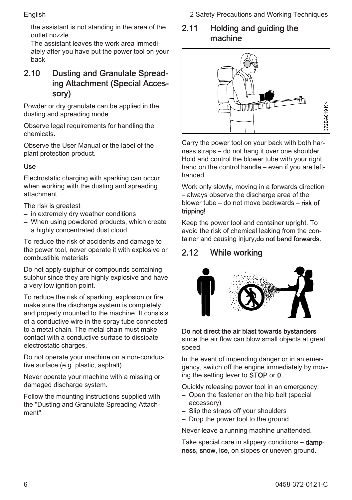English 2 Safety Precautions and Working Techniques

- the assistant is not standing in the area of the outlet nozzle
- The assistant leaves the work area immedi‐ ately after you have put the power tool on your back

#### 2.10 Dusting and Granulate Spread‐ ing Attachment (Special Acces‐ sory)

Powder or dry granulate can be applied in the dusting and spreading mode.

Observe legal requirements for handling the chemicals.

Observe the User Manual or the label of the plant protection product.

#### Use

Electrostatic charging with sparking can occur when working with the dusting and spreading attachment.

The risk is greatest

- in extremely dry weather conditions
- When using powdered products, which create a highly concentrated dust cloud

To reduce the risk of accidents and damage to the power tool, never operate it with explosive or combustible materials

Do not apply sulphur or compounds containing sulphur since they are highly explosive and have a very low ignition point.

To reduce the risk of sparking, explosion or fire, make sure the discharge system is completely and properly mounted to the machine. It consists of a conductive wire in the spray tube connected to a metal chain. The metal chain must make contact with a conductive surface to dissipate electrostatic charges.

Do not operate your machine on a non-conduc‐ tive surface (e.g. plastic, asphalt).

Never operate your machine with a missing or damaged discharge system.

Follow the mounting instructions supplied with the "Dusting and Granulate Spreading Attach‐ ment".

#### 2.11 Holding and guiding the machine



Carry the power tool on your back with both har‐ ness straps – do not hang it over one shoulder. Hold and control the blower tube with your right hand on the control handle – even if you are lefthanded.

Work only slowly, moving in a forwards direction – always observe the discharge area of the blower tube – do not move backwards – risk of tripping!

Keep the power tool and container upright. To avoid the risk of chemical leaking from the con‐ tainer and causing injury, do not bend forwards.

# 2.12 While working



#### Do not direct the air blast towards bystanders

since the air flow can blow small objects at great speed.

In the event of impending danger or in an emer‐ gency, switch off the engine immediately by moving the setting lever to STOP or 0.

Quickly releasing power tool in an emergency:

- Open the fastener on the hip belt (special accessory)
- Slip the straps off your shoulders
- Drop the power tool to the ground

Never leave a running machine unattended.

Take special care in slippery conditions – dampness, snow, ice, on slopes or uneven ground.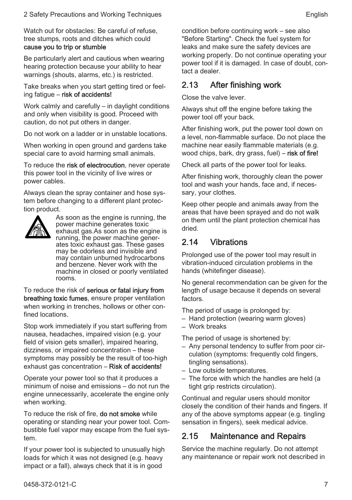Watch out for obstacles: Be careful of refuse, tree stumps, roots and ditches which could

#### cause you to trip or stumble

Be particularly alert and cautious when wearing hearing protection because your ability to hear warnings (shouts, alarms, etc.) is restricted.

Take breaks when you start getting tired or feel‐ ing fatigue – risk of accidents!

Work calmly and carefully – in daylight conditions and only when visibility is good. Proceed with caution, do not put others in danger.

Do not work on a ladder or in unstable locations.

When working in open ground and gardens take special care to avoid harming small animals.

To reduce the risk of electrocution, never operate this power tool in the vicinity of live wires or power cables.

Always clean the spray container and hose sys‐ tem before changing to a different plant protec‐ tion product.



As soon as the engine is running, the power machine generates toxic exhaust gas.As soon as the engine is running, the power machine gener‐ ates toxic exhaust gas. These gases may be odorless and invisible and may contain unburned hydrocarbons and benzene. Never work with the machine in closed or poorly ventilated rooms.

To reduce the risk of serious or fatal injury from breathing toxic fumes, ensure proper ventilation when working in trenches, hollows or other confined locations.

Stop work immediately if you start suffering from nausea, headaches, impaired vision (e.g. your field of vision gets smaller), impaired hearing, dizziness, or impaired concentration – these symptoms may possibly be the result of too-high exhaust gas concentration – Risk of accidents!

Operate your power tool so that it produces a minimum of noise and emissions – do not run the engine unnecessarily, accelerate the engine only when working.

To reduce the risk of fire, **do not smoke** while operating or standing near your power tool. Com‐ bustible fuel vapor may escape from the fuel sys‐ tem.

If your power tool is subjected to unusually high loads for which it was not designed (e.g. heavy impact or a fall), always check that it is in good

condition before continuing work – see also "Before Starting". Check the fuel system for leaks and make sure the safety devices are working properly. Do not continue operating your power tool if it is damaged. In case of doubt, con‐ tact a dealer.

#### 2.13 After finishing work

Close the valve lever.

Always shut off the engine before taking the power tool off your back.

After finishing work, put the power tool down on a level, non-flammable surface. Do not place the machine near easily flammable materials (e.g. wood chips, bark, dry grass, fuel) – risk of fire!

Check all parts of the power tool for leaks.

After finishing work, thoroughly clean the power tool and wash your hands, face and, if neces‐ sary, your clothes.

Keep other people and animals away from the areas that have been sprayed and do not walk on them until the plant protection chemical has dried.

#### 2.14 Vibrations

Prolonged use of the power tool may result in vibration-induced circulation problems in the hands (whitefinger disease).

No general recommendation can be given for the length of usage because it depends on several factors.

The period of usage is prolonged by:

- Hand protection (wearing warm gloves)
- Work breaks

The period of usage is shortened by:

- Any personal tendency to suffer from poor cir‐ culation (symptoms: frequently cold fingers, tingling sensations).
- Low outside temperatures.
- The force with which the handles are held (a tight grip restricts circulation).

Continual and regular users should monitor closely the condition of their hands and fingers. If any of the above symptoms appear (e.g. tingling sensation in fingers), seek medical advice.

#### 2.15 Maintenance and Repairs

Service the machine regularly. Do not attempt any maintenance or repair work not described in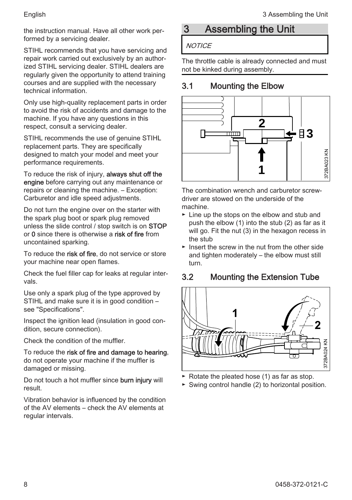<span id="page-7-0"></span>the instruction manual. Have all other work per‐ formed by a servicing dealer.

STIHL recommends that you have servicing and repair work carried out exclusively by an author‐ ized STIHL servicing dealer. STIHL dealers are regularly given the opportunity to attend training courses and are supplied with the necessary technical information.

Only use high-quality replacement parts in order to avoid the risk of accidents and damage to the machine. If you have any questions in this respect, consult a servicing dealer.

STIHL recommends the use of genuine STIHL replacement parts. They are specifically designed to match your model and meet your performance requirements.

To reduce the risk of injury, always shut off the engine before carrying out any maintenance or repairs or cleaning the machine. – Exception: Carburetor and idle speed adjustments.

Do not turn the engine over on the starter with the spark plug boot or spark plug removed unless the slide control / stop switch is on STOP or 0 since there is otherwise a risk of fire from uncontained sparking.

To reduce the risk of fire, do not service or store your machine near open flames.

Check the fuel filler cap for leaks at regular inter‐ vals.

Use only a spark plug of the type approved by STIHL and make sure it is in good condition – see "Specifications".

Inspect the ignition lead (insulation in good con‐ dition, secure connection).

Check the condition of the muffler.

To reduce the risk of fire and damage to hearing. do not operate your machine if the muffler is damaged or missing.

Do not touch a hot muffler since **burn injury** will result.

Vibration behavior is influenced by the condition of the AV elements – check the AV elements at regular intervals.

# 3 Assembling the Unit

#### **NOTICE**

The throttle cable is already connected and must not be kinked during assembly.

# 3.1 Mounting the Elbow



The combination wrench and carburetor screw‐ driver are stowed on the underside of the machine.

- ► Line up the stops on the elbow and stub and push the elbow (1) into the stub (2) as far as it will go. Fit the nut (3) in the hexagon recess in the stub
- ► Insert the screw in the nut from the other side and tighten moderately – the elbow must still turn.

# 3.2 Mounting the Extension Tube



- ► Rotate the pleated hose (1) as far as stop.
- ► Swing control handle (2) to horizontal position.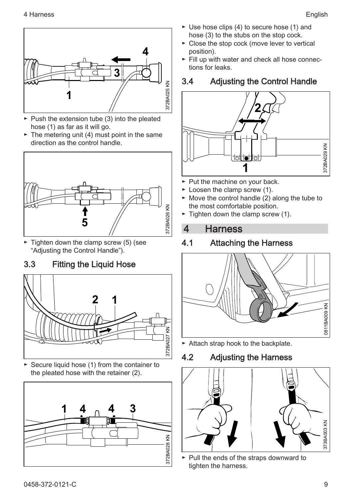<span id="page-8-0"></span>

- ► Push the extension tube (3) into the pleated hose (1) as far as it will go.
- $\blacktriangleright$  The metering unit (4) must point in the same direction as the control handle.



► Tighten down the clamp screw (5) (see "Adjusting the Control Handle").

# 3.3 Fitting the Liquid Hose



► Secure liquid hose (1) from the container to the pleated hose with the retainer (2).



- ► Use hose clips (4) to secure hose (1) and hose (3) to the stubs on the stop cock.
- ► Close the stop cock (move lever to vertical position).
- ► Fill up with water and check all hose connec‐ tions for leaks.

## 3.4 Adjusting the Control Handle



- ► Put the machine on your back.
- ► Loosen the clamp screw (1).
- ► Move the control handle (2) along the tube to the most comfortable position.
- $\blacktriangleright$  Tighten down the clamp screw (1).

## 4 Harness

## 4.1 Attaching the Harness



► Attach strap hook to the backplate.

## 4.2 Adjusting the Harness



► Pull the ends of the straps downward to tighten the harness.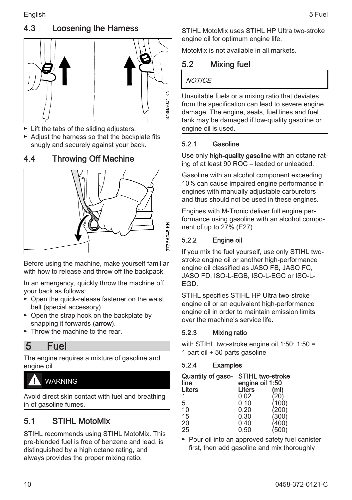## <span id="page-9-0"></span>4.3 Loosening the Harness



- ► Lift the tabs of the sliding adjusters.
- ► Adjust the harness so that the backplate fits snugly and securely against your back.

#### 4.4 Throwing Off Machine



Before using the machine, make yourself familiar with how to release and throw off the backpack.

In an emergency, quickly throw the machine off your back as follows:

- ► Open the quick-release fastener on the waist belt (special accessory).
- ► Open the strap hook on the backplate by snapping it forwards (**arrow**).
- $\triangleright$  Throw the machine to the rear.

## 5 Fuel

The engine requires a mixture of gasoline and engine oil.

# WARNING

Avoid direct skin contact with fuel and breathing in of gasoline fumes.

## 5.1 STIHL MotoMix

STIHL recommends using STIHL MotoMix. This pre-blended fuel is free of benzene and lead, is distinguished by a high octane rating, and always provides the proper mixing ratio.

STIHL MotoMix uses STIHL HP Ultra two-stroke engine oil for optimum engine life.

MotoMix is not available in all markets.

#### 5.2 Mixing fuel

#### **NOTICE**

Unsuitable fuels or a mixing ratio that deviates from the specification can lead to severe engine damage. The engine, seals, fuel lines and fuel tank may be damaged if low-quality gasoline or engine oil is used.

#### 5.2.1 Gasoline

Use only **high-quality gasoline** with an octane rating of at least 90 ROC – leaded or unleaded.

Gasoline with an alcohol component exceeding 10% can cause impaired engine performance in engines with manually adjustable carburetors and thus should not be used in these engines.

Engines with M-Tronic deliver full engine per‐ formance using gasoline with an alcohol compo‐ nent of up to 27% (E27).

#### 5.2.2 Engine oil

If you mix the fuel yourself, use only STIHL twostroke engine oil or another high-performance engine oil classified as JASO FB, JASO FC, JASO FD, ISO-L-EGB, ISO-L-EGC or ISO-L-EGD.

STIHL specifies STIHL HP Ultra two-stroke engine oil or an equivalent high-performance engine oil in order to maintain emission limits over the machine's service life.

#### 5.2.3 Mixing ratio

with STIHL two-stroke engine oil 1:50: 1:50 = 1 part oil + 50 parts gasoline

#### 5.2.4 Examples

| Quantity of gaso-<br>line | <b>STIHL two-stroke</b><br>engine oil 1:50 |       |  |  |  |  |  |
|---------------------------|--------------------------------------------|-------|--|--|--|--|--|
| Liters                    | Liters                                     | (ml)  |  |  |  |  |  |
|                           | 0.02                                       | 20)   |  |  |  |  |  |
| 5                         | 0.10                                       | 100)  |  |  |  |  |  |
| 10                        | 0.20                                       | (200) |  |  |  |  |  |
| 15                        | 0.30                                       | 300'  |  |  |  |  |  |
| 20                        | 0.40                                       | 400)  |  |  |  |  |  |
| 25                        | 0.50                                       | (500) |  |  |  |  |  |

► Pour oil into an approved safety fuel canister first, then add gasoline and mix thoroughly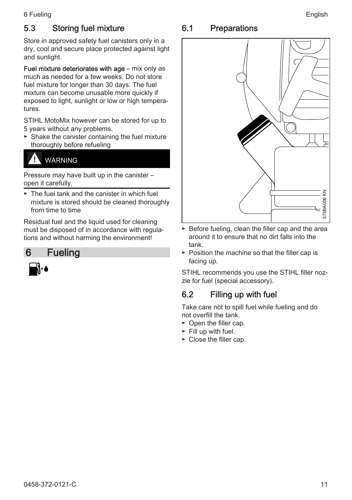## <span id="page-10-0"></span>5.3 Storing fuel mixture

Store in approved safety fuel canisters only in a dry, cool and secure place protected against light and sunlight.

Fuel mixture deteriorates with age – mix only as much as needed for a few weeks. Do not store fuel mixture for longer than 30 days. The fuel mixture can become unusable more quickly if exposed to light, sunlight or low or high tempera‐ tures.

STIHL MotoMix however can be stored for up to 5 years without any problems.

► Shake the canister containing the fuel mixture thoroughly before refueling

# WARNING

Pressure may have built up in the canister – open it carefully.

► The fuel tank and the canister in which fuel mixture is stored should be cleaned thoroughly from time to time

Residual fuel and the liquid used for cleaning must be disposed of in accordance with regula‐ tions and without harming the environment!



# 6.1 Preparations



- ► Before fueling, clean the filler cap and the area around it to ensure that no dirt falls into the tank.
- ► Position the machine so that the filler cap is facing up.

STIHL recommends you use the STIHL filler noz‐ zle for fuel (special accessory).

## 6.2 Filling up with fuel

Take care not to spill fuel while fueling and do not overfill the tank.

- ► Open the filler cap.
- ► Fill up with fuel.
- ► Close the filler cap.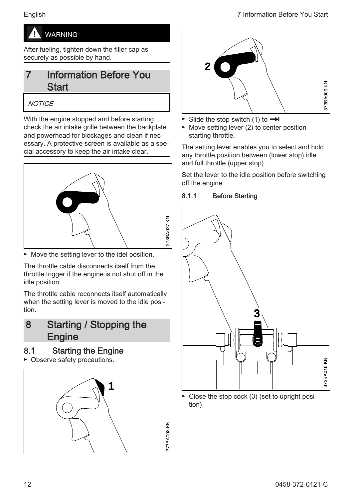<span id="page-11-0"></span>

After fueling, tighten down the filler cap as securely as possible by hand.

# **Information Before You Start**

#### **NOTICE**

With the engine stopped and before starting, check the air intake grille between the backplate and powerhead for blockages and clean if nec‐ essary. A protective screen is available as a spe‐ cial accessory to keep the air intake clear.



► Move the setting lever to the idel position.

The throttle cable disconnects itself from the throttle trigger if the engine is not shut off in the idle position.

The throttle cable reconnects itself automatically when the setting lever is moved to the idle position.

# 8 Starting / Stopping the **Engine**

#### 8.1 Starting the Engine

► Observe safety precautions.





- ► Slide the stop switch (1) to  $\rightarrow$
- $\blacktriangleright$  Move setting lever (2) to center position starting throttle.

The setting lever enables you to select and hold any throttle position between (lower stop) idle and full throttle (upper stop).

Set the lever to the idle position before switching off the engine.

#### 8.1.1 Before Starting



► Close the stop cock (3) (set to upright posi‐ tion).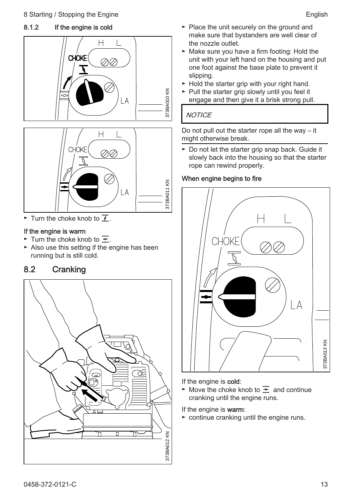#### 8.1.2 If the engine is cold





► Turn the choke knob to  $\overline{I}$ .

#### If the engine is warm

- ► Turn the choke knob to  $\equiv$ .
- ► Also use this setting if the engine has been running but is still cold.

#### 8.2 Cranking



- ► Place the unit securely on the ground and make sure that bystanders are well clear of the nozzle outlet.
- ► Make sure you have a firm footing: Hold the unit with your left hand on the housing and put one foot against the base plate to prevent it slipping.
- ► Hold the starter grip with your right hand.
- ► Pull the starter grip slowly until you feel it engage and then give it a brisk strong pull.

#### **NOTICE**

Do not pull out the starter rope all the way – it might otherwise break.

► Do not let the starter grip snap back. Guide it slowly back into the housing so that the starter rope can rewind properly.

#### When engine begins to fire



If the engine is cold:

► Move the choke knob to  $\overline{=}$  and continue cranking until the engine runs.

If the engine is warm:

► continue cranking until the engine runs.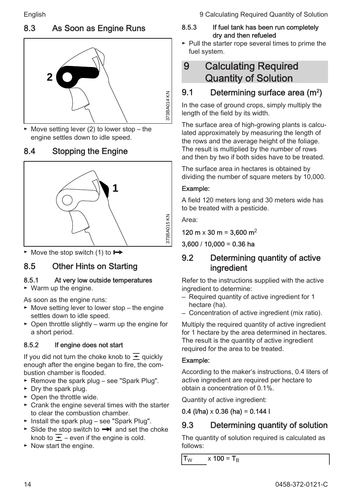# 8.3 As Soon as Engine Runs



 $\blacktriangleright$  Move setting lever (2) to lower stop – the engine settles down to idle speed.

# 8.4 Stopping the Engine



 $\blacktriangleright$  Move the stop switch (1) to  $\blacktriangleright$ 

# 8.5 Other Hints on Starting

#### 8.5.1 At very low outside temperatures

► Warm up the engine.

As soon as the engine runs:

- ► Move setting lever to lower stop the engine settles down to idle speed.
- ► Open throttle slightly warm up the engine for a short period.

#### 8.5.2 If engine does not start

If you did not turn the choke knob to  $\overline{\div}$  quickly enough after the engine began to fire, the combustion chamber is flooded.

- ► Remove the spark plug see "Spark Plug".
- ► Dry the spark plug.
- ► Open the throttle wide.
- ► Crank the engine several times with the starter to clear the combustion chamber.
- ► Install the spark plug see "Spark Plug".
- ► Slide the stop switch to **→** and set the choke knob to  $\overline{\div}$  – even if the engine is cold.
- ► Now start the engine.

<span id="page-13-0"></span>English 9 Calculating Required Quantity of Solution

#### 8.5.3 If fuel tank has been run completely dry and then refueled

► Pull the starter rope several times to prime the fuel system.

# 9 Calculating Required Quantity of Solution

# 9.1 Determining surface area (m<sup>2</sup>)

In the case of ground crops, simply multiply the length of the field by its width.

The surface area of high-growing plants is calcu‐ lated approximately by measuring the length of the rows and the average height of the foliage. The result is multiplied by the number of rows and then by two if both sides have to be treated.

The surface area in hectares is obtained by dividing the number of square meters by 10,000.

#### Example:

A field 120 meters long and 30 meters wide has to be treated with a pesticide.

Area:

120 m  $\times$  30 m = 3,600 m<sup>2</sup>

 $3,600 / 10,000 = 0.36$  ha

## 9.2 Determining quantity of active ingredient

Refer to the instructions supplied with the active ingredient to determine:

- Required quantity of active ingredient for 1 hectare (ha).
- Concentration of active ingredient (mix ratio).

Multiply the required quantity of active ingredient for 1 hectare by the area determined in hectares. The result is the quantity of active ingredient required for the area to be treated.

#### Example:

According to the maker's instructions, 0.4 liters of active ingredient are required per hectare to obtain a concentration of 0.1%.

Quantity of active ingredient:

#### 0.4 (I/ha)  $\times$  0.36 (ha) = 0.144 l

# 9.3 Determining quantity of solution

The quantity of solution required is calculated as follows:

 $T_{W}$  x 100 =  $T_{B}$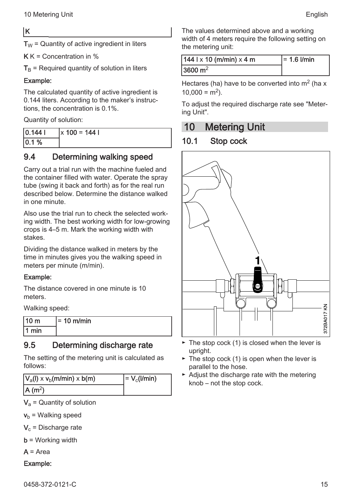#### <span id="page-14-0"></span>K

 $T_W$  = Quantity of active ingredient in liters

 $K K =$  Concentration in %

 $T<sub>B</sub>$  = Required quantity of solution in liters

#### Example:

The calculated quantity of active ingredient is 0.144 liters. According to the maker's instruc‐ tions, the concentration is 0.1%.

Quantity of solution:

| 0.1441 | $\vert x \vert 100 = 144 \vert$ |
|--------|---------------------------------|
| 0.1%   |                                 |

#### 9.4 Determining walking speed

Carry out a trial run with the machine fueled and the container filled with water. Operate the spray tube (swing it back and forth) as for the real run described below. Determine the distance walked in one minute.

Also use the trial run to check the selected work‐ ing width. The best working width for low-growing crops is 4–5 m. Mark the working width with stakes.

Dividing the distance walked in meters by the time in minutes gives you the walking speed in meters per minute (m/min).

#### Example:

The distance covered in one minute is 10 meters.

Walking speed:

| 10 <sub>m</sub> | l= 10 m/min |
|-----------------|-------------|
| l 1 min         |             |

## 9.5 Determining discharge rate

The setting of the metering unit is calculated as follows:

| $ V_a $ ) x $V_b$ (m/min) x b(m) | $= V_c(l/min)$ |
|----------------------------------|----------------|
| $ A(m^2) $                       |                |

 $V_a$  = Quantity of solution

 $v<sub>b</sub>$  = Walking speed

 $\mathsf{V}_{\rm c}$  = Discharge rate

 **= Working width** 

 $A = Area$ 

#### Example:

The values determined above and a working width of 4 meters require the following setting on the metering unit:

| 144   x 10 (m/min) x 4 m | $= 1.6$ I/min |
|--------------------------|---------------|
| 3600 $m2$                |               |

Hectares (ha) have to be converted into  $m<sup>2</sup>$  (ha x  $10,000 = m<sup>2</sup>$ ).

To adjust the required discharge rate see "Meter‐ ing Unit".

## 10 Metering Unit

## 10.1 Stop cock



- $\blacktriangleright$  The stop cock (1) is closed when the lever is upright.
- $\blacktriangleright$  The stop cock (1) is open when the lever is parallel to the hose.
- ► Adjust the discharge rate with the metering knob – not the stop cock.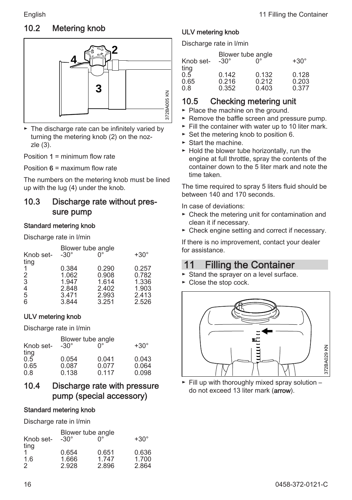## <span id="page-15-0"></span>10.2 Metering knob



► The discharge rate can be infinitely varied by turning the metering knob (2) on the noz‐ zle (3).

Position  $1 =$  minimum flow rate

Position  $6 =$  maximum flow rate

The numbers on the metering knob must be lined up with the lug (4) under the knob.

#### 10.3 Discharge rate without pres‐ sure pump

#### Standard metering knob

Discharge rate in l/min

| Knob set-<br>ting | $-30^\circ$ | Blower tube angle | $+30^\circ$ |  |  |
|-------------------|-------------|-------------------|-------------|--|--|
|                   |             |                   |             |  |  |
|                   | 0.384       | 0.290             | 0.257       |  |  |
| 2                 | 1.062       | 0.908             | 0.782       |  |  |
| 3                 | 1.947       | 1.614             | 1.336       |  |  |
| $\overline{4}$    | 2.848       | 2.402             | 1.903       |  |  |
| 5                 | 3.471       | 2.993             | 2.413       |  |  |
| 6                 | 3.844       | 3.251             | 2.526       |  |  |

#### ULV metering knob

Discharge rate in l/min

| Knob set-<br>ting | Blower tube angle<br>$-30^\circ$ | ∩°             | $+30^\circ$    |
|-------------------|----------------------------------|----------------|----------------|
| 0.5               | 0.054                            | 0.041          | 0.043          |
| 0.65<br>0.8       | 0.087<br>0.138                   | 0.077<br>0.117 | 0.064<br>0.098 |

#### 10.4 Discharge rate with pressure pump (special accessory)

#### Standard metering knob

Discharge rate in l/min

| Knob set-<br>ting | Blower tube angle<br>$-30^\circ$ | ∩°             | $+30^\circ$    |
|-------------------|----------------------------------|----------------|----------------|
|                   | 0.654<br>1.666                   | 0.651<br>1.747 | 0.636<br>1.700 |
| 1.6<br>2          | 2.928                            | 2.896          | 2.864          |

#### ULV metering knob

Discharge rate in l/min

|       | n°          | $+30^\circ$       |
|-------|-------------|-------------------|
|       |             |                   |
| 0.142 | 0.132       | 0.128             |
| 0.216 | 0.212       | 0.203             |
| 0.352 | 0.403       | 0.377             |
|       | $-30^\circ$ | Blower tube angle |

#### 10.5 Checking metering unit

- ► Place the machine on the ground.
- ► Remove the baffle screen and pressure pump.
- ► Fill the container with water up to 10 liter mark.
- ► Set the metering knob to position 6.
- ► Start the machine.
- ► Hold the blower tube horizontally, run the engine at full throttle, spray the contents of the container down to the 5 liter mark and note the time taken.

The time required to spray 5 liters fluid should be between 140 and 170 seconds.

In case of deviations:

- ► Check the metering unit for contamination and clean it if necessary.
- ► Check engine setting and correct if necessary.

If there is no improvement, contact your dealer for assistance.

# 11 Filling the Container

- ► Stand the sprayer on a level surface.
- ► Close the stop cock.



 $\blacktriangleright$  Fill up with thoroughly mixed spray solution – do not exceed 13 liter mark (arrow).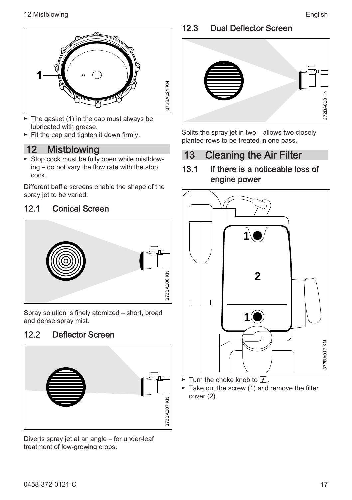<span id="page-16-0"></span>

- $\blacktriangleright$  The gasket (1) in the cap must always be lubricated with grease.
- ► Fit the cap and tighten it down firmly.

# 12 Mistblowing

► Stop cock must be fully open while mistblow‐ ing – do not vary the flow rate with the stop cock.

Different baffle screens enable the shape of the spray jet to be varied.

#### 12.1 Conical Screen



Spray solution is finely atomized – short, broad and dense spray mist.

## 12.2 Deflector Screen



Diverts spray jet at an angle – for under-leaf treatment of low-growing crops.

#### 12.3 Dual Deflector Screen



Splits the spray jet in two – allows two closely planted rows to be treated in one pass.

# 13 Cleaning the Air Filter

#### 13.1 If there is a noticeable loss of engine power



For Turn the choke knob to  $\overline{f}$ .

► Take out the screw (1) and remove the filter cover (2).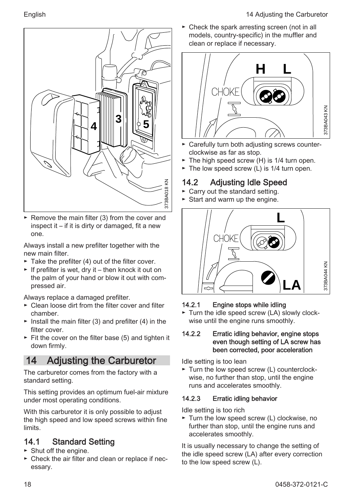<span id="page-17-0"></span>

► Remove the main filter (3) from the cover and inspect it – if it is dirty or damaged, fit a new one.

Always install a new prefilter together with the new main filter.

- $\blacktriangleright$  Take the prefilter (4) out of the filter cover.
- $\blacktriangleright$  If prefilter is wet, dry it then knock it out on the palm of your hand or blow it out with com‐ pressed air.

Always replace a damaged prefilter.

- ► Clean loose dirt from the filter cover and filter chamber.
- $\blacktriangleright$  Install the main filter (3) and prefilter (4) in the filter cover
- ► Fit the cover on the filter base (5) and tighten it down firmly.

# 14 Adjusting the Carburetor

The carburetor comes from the factory with a standard setting.

This setting provides an optimum fuel-air mixture under most operating conditions.

With this carburetor it is only possible to adjust the high speed and low speed screws within fine limits.

## 14.1 Standard Setting

- ► Shut off the engine.
- ► Check the air filter and clean or replace if nec‐ essary.

► Check the spark arresting screen (not in all models, country-specific) in the muffler and clean or replace if necessary.



- ► Carefully turn both adjusting screws counter‐ clockwise as far as stop.
- ► The high speed screw (H) is 1/4 turn open.
- ► The low speed screw (L) is 1/4 turn open.

# 14.2 Adjusting Idle Speed

- ► Carry out the standard setting.
- ► Start and warm up the engine.



#### 14.2.1 Engine stops while idling

► Turn the idle speed screw (LA) slowly clock‐ wise until the engine runs smoothly.

#### 14.2.2 Erratic idling behavior, engine stops even though setting of LA screw has been corrected, poor acceleration

Idle setting is too lean

► Turn the low speed screw (L) counterclock‐ wise, no further than stop, until the engine runs and accelerates smoothly.

#### 14.2.3 Erratic idling behavior

Idle setting is too rich

► Turn the low speed screw (L) clockwise, no further than stop, until the engine runs and accelerates smoothly.

It is usually necessary to change the setting of the idle speed screw (LA) after every correction to the low speed screw (L).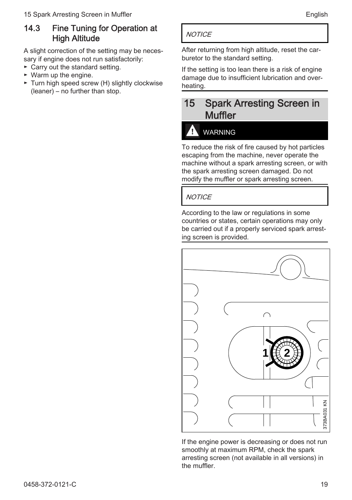#### <span id="page-18-0"></span>14.3 Fine Tuning for Operation at **High Altitude**

A slight correction of the setting may be neces‐ sary if engine does not run satisfactorily:

- ► Carry out the standard setting.
- ► Warm up the engine.
- ► Turn high speed screw (H) slightly clockwise (leaner) – no further than stop.

#### **NOTICE**

After returning from high altitude, reset the car‐ buretor to the standard setting.

If the setting is too lean there is a risk of engine damage due to insufficient lubrication and over‐ heating.

## 15 Spark Arresting Screen in **Muffler**

# WARNING

To reduce the risk of fire caused by hot particles escaping from the machine, never operate the machine without a spark arresting screen, or with the spark arresting screen damaged. Do not modify the muffler or spark arresting screen.

#### **NOTICE**

According to the law or regulations in some countries or states, certain operations may only be carried out if a properly serviced spark arrest‐ ing screen is provided.



If the engine power is decreasing or does not run smoothly at maximum RPM, check the spark arresting screen (not available in all versions) in the muffler.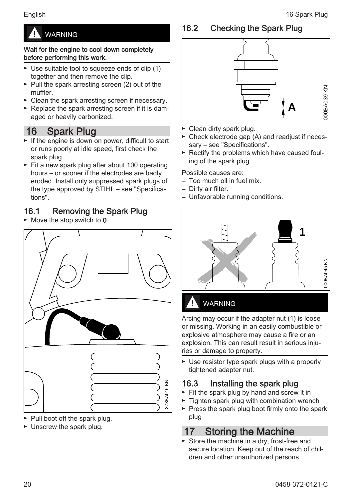# <span id="page-19-0"></span>WARNING

#### Wait for the engine to cool down completely before performing this work.

- ► Use suitable tool to squeeze ends of clip (1) together and then remove the clip.
- ► Pull the spark arresting screen (2) out of the muffler.
- ► Clean the spark arresting screen if necessary.
- ► Replace the spark arresting screen if it is dam‐ aged or heavily carbonized.

# 16 Spark Plug

- ► If the engine is down on power, difficult to start or runs poorly at idle speed, first check the spark plug.
- ► Fit a new spark plug after about 100 operating hours – or sooner if the electrodes are badly eroded. Install only suppressed spark plugs of the type approved by STIHL – see "Specifica‐ tions".

## 16.1 Removing the Spark Plug

► Move the stop switch to 0.



- ► Pull boot off the spark plug.
- ► Unscrew the spark plug.

# 16.2 Checking the Spark Plug



- ► Clean dirty spark plug.
- ► Check electrode gap (A) and readjust if neces‐ sary – see "Specifications".
- ► Rectify the problems which have caused foul‐ ing of the spark plug.

Possible causes are:

- Too much oil in fuel mix.
- Dirty air filter.
- Unfavorable running conditions.



# WARNING

Arcing may occur if the adapter nut (1) is loose or missing. Working in an easily combustible or explosive atmosphere may cause a fire or an explosion. This can result result in serious injuries or damage to property.

► Use resistor type spark plugs with a properly tightened adapter nut.

## 16.3 Installing the spark plug

- ► Fit the spark plug by hand and screw it in
- ► Tighten spark plug with combination wrench
- ► Press the spark plug boot firmly onto the spark plug

# 17 Storing the Machine

► Store the machine in a dry, frost-free and secure location. Keep out of the reach of children and other unauthorized persons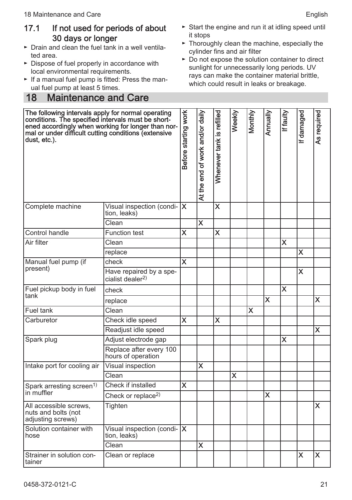#### <span id="page-20-0"></span>17.1 If not used for periods of about 30 days or longer

- ► Drain and clean the fuel tank in a well ventila‐ ted area.
- ► Dispose of fuel properly in accordance with local environmental requirements.
- ► If a manual fuel pump is fitted: Press the man‐ ual fuel pump at least 5 times.

## 18 Maintenance and Care

- ► Start the engine and run it at idling speed until it stops
- ► Thoroughly clean the machine, especially the cylinder fins and air filter
- ► Do not expose the solution container to direct sunlight for unnecessarily long periods. UV rays can make the container material brittle, which could result in leaks or breakage.

| The following intervals apply for normal operating<br>conditions. The specified intervals must be short-<br>ened accordingly when working for longer than nor-<br>mal or under difficult cutting conditions (extensive<br>dust, etc.). |                                                         | Before starting work    | At the end of work and/or daily | Whenever tank is refilled | Weekly | Monthly | Annually | If faulty | If damaged | As required |
|----------------------------------------------------------------------------------------------------------------------------------------------------------------------------------------------------------------------------------------|---------------------------------------------------------|-------------------------|---------------------------------|---------------------------|--------|---------|----------|-----------|------------|-------------|
| Complete machine                                                                                                                                                                                                                       | Visual inspection (condi- X<br>tion, leaks)             |                         |                                 | $\boldsymbol{\mathsf{x}}$ |        |         |          |           |            |             |
|                                                                                                                                                                                                                                        | Clean                                                   |                         | $\overline{\mathbf{x}}$         |                           |        |         |          |           |            |             |
| Control handle                                                                                                                                                                                                                         | <b>Function test</b>                                    | x                       |                                 | X                         |        |         |          |           |            |             |
| Air filter                                                                                                                                                                                                                             | Clean                                                   |                         |                                 |                           |        |         |          | X         |            |             |
|                                                                                                                                                                                                                                        | replace                                                 |                         |                                 |                           |        |         |          |           | X          |             |
| Manual fuel pump (if                                                                                                                                                                                                                   | check                                                   | $\overline{\mathbf{x}}$ |                                 |                           |        |         |          |           |            |             |
| present)                                                                                                                                                                                                                               | Have repaired by a spe-<br>cialist dealer <sup>2)</sup> |                         |                                 |                           |        |         |          |           | X          |             |
| Fuel pickup body in fuel                                                                                                                                                                                                               | check                                                   |                         |                                 |                           |        |         |          | X         |            |             |
| tank                                                                                                                                                                                                                                   | replace                                                 |                         |                                 |                           |        |         | X        |           |            | <b>X</b>    |
| Fuel tank                                                                                                                                                                                                                              | Clean                                                   |                         |                                 |                           |        | x       |          |           |            |             |
| Carburetor                                                                                                                                                                                                                             | Check idle speed                                        | $\overline{\mathbf{x}}$ |                                 | X                         |        |         |          |           |            |             |
|                                                                                                                                                                                                                                        | Readjust idle speed                                     |                         |                                 |                           |        |         |          |           |            | X           |
| Spark plug                                                                                                                                                                                                                             | Adjust electrode gap                                    |                         |                                 |                           |        |         |          | X         |            |             |
|                                                                                                                                                                                                                                        | Replace after every 100<br>hours of operation           |                         |                                 |                           |        |         |          |           |            |             |
| Intake port for cooling air                                                                                                                                                                                                            | Visual inspection                                       |                         | $\overline{\mathsf{x}}$         |                           |        |         |          |           |            |             |
|                                                                                                                                                                                                                                        | Clean                                                   |                         |                                 |                           | X      |         |          |           |            |             |
| Spark arresting screen <sup>1)</sup>                                                                                                                                                                                                   | Check if installed                                      | X.                      |                                 |                           |        |         |          |           |            |             |
| in muffler                                                                                                                                                                                                                             | Check or replace <sup>2)</sup>                          |                         |                                 |                           |        |         | X        |           |            |             |
| All accessible screws.<br>nuts and bolts (not<br>adjusting screws)                                                                                                                                                                     | Tighten                                                 |                         |                                 |                           |        |         |          |           |            | X           |
| Solution container with<br>hose                                                                                                                                                                                                        | Visual inspection (condi- $\mathsf{X}$<br>tion, leaks)  |                         |                                 |                           |        |         |          |           |            |             |
|                                                                                                                                                                                                                                        | Clean                                                   |                         | X                               |                           |        |         |          |           |            |             |
| Strainer in solution con-<br>tainer                                                                                                                                                                                                    | Clean or replace                                        |                         |                                 |                           |        |         |          |           | X          | X           |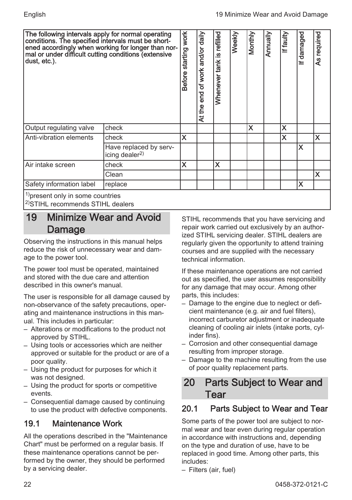<span id="page-21-0"></span>

| The following intervals apply for normal operating<br>conditions. The specified intervals must be short-<br> ened accordingly when working for longer than nor-<br>mal or under difficult cutting conditions (extensive<br> dust, etc.). |                                                | Before starting work | $\frac{d}{d}$<br>of work and/or<br>At the end | Whenever tank is refilled | Weekly | Monthly | Annually | If faulty | If damaged | As required |
|------------------------------------------------------------------------------------------------------------------------------------------------------------------------------------------------------------------------------------------|------------------------------------------------|----------------------|-----------------------------------------------|---------------------------|--------|---------|----------|-----------|------------|-------------|
| Output regulating valve                                                                                                                                                                                                                  | check                                          |                      |                                               |                           |        | X       |          | X         |            |             |
| Anti-vibration elements                                                                                                                                                                                                                  | check                                          | X                    |                                               |                           |        |         |          | X         |            | X           |
|                                                                                                                                                                                                                                          | Have replaced by serv-<br>icing dealer $^{2)}$ |                      |                                               |                           |        |         |          |           | X          |             |
| IAir intake screen                                                                                                                                                                                                                       | check                                          | X                    |                                               | X                         |        |         |          |           |            |             |
|                                                                                                                                                                                                                                          | Clean                                          |                      |                                               |                           |        |         |          |           |            | X           |
| Safety information label                                                                                                                                                                                                                 | replace                                        |                      |                                               |                           |        |         |          |           | X          |             |
| 1) present only in some countries<br><sup>2)</sup> STIHL recommends STIHL dealers                                                                                                                                                        |                                                |                      |                                               |                           |        |         |          |           |            |             |

# 19 Minimize Wear and Avoid Damage

Observing the instructions in this manual helps reduce the risk of unnecessary wear and dam‐ age to the power tool.

The power tool must be operated, maintained and stored with the due care and attention described in this owner's manual.

The user is responsible for all damage caused by non-observance of the safety precautions, oper‐ ating and maintenance instructions in this man‐ ual. This includes in particular:

- Alterations or modifications to the product not approved by STIHL.
- Using tools or accessories which are neither approved or suitable for the product or are of a poor quality.
- Using the product for purposes for which it was not designed.
- Using the product for sports or competitive events.
- Consequential damage caused by continuing to use the product with defective components.

# 19.1 Maintenance Work

All the operations described in the "Maintenance Chart" must be performed on a regular basis. If these maintenance operations cannot be per‐ formed by the owner, they should be performed by a servicing dealer.

STIHL recommends that you have servicing and repair work carried out exclusively by an author‐ ized STIHL servicing dealer. STIHL dealers are regularly given the opportunity to attend training courses and are supplied with the necessary technical information.

If these maintenance operations are not carried out as specified, the user assumes responsibility for any damage that may occur. Among other parts, this includes:

- Damage to the engine due to neglect or defi‐ cient maintenance (e.g. air and fuel filters), incorrect carburetor adjustment or inadequate cleaning of cooling air inlets (intake ports, cyl‐ inder fins).
- Corrosion and other consequential damage resulting from improper storage.
- Damage to the machine resulting from the use of poor quality replacement parts.

# 20 Parts Subject to Wear and Tear

# 20.1 Parts Subject to Wear and Tear

Some parts of the power tool are subject to nor‐ mal wear and tear even during regular operation in accordance with instructions and, depending on the type and duration of use, have to be replaced in good time. Among other parts, this includes:

– Filters (air, fuel)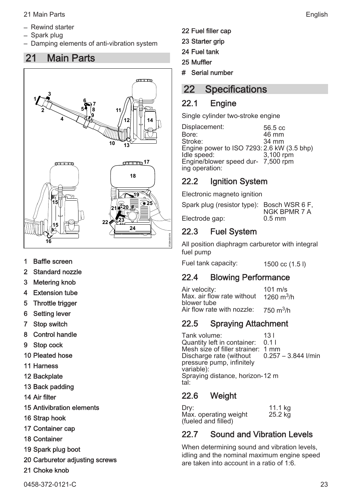- <span id="page-22-0"></span>– Rewind starter
- Spark plug
- Damping elements of anti-vibration system

# 21 Main Parts



- 1 Baffle screen
- 2 Standard nozzle
- 3 Metering knob
- 4 Extension tube
- 5 Throttle trigger
- 6 Setting lever
- 7 Stop switch
- 8 Control handle
- 9 Stop cock
- 10 Pleated hose
- 11 Harness
- 12 Backplate
- 13 Back padding
- 14 Air filter
- 15 Antivibration elements
- 16 Strap hook
- 17 Container cap
- 18 Container
- 19 Spark plug boot
- 20 Carburetor adjusting screws
- 21 Choke knob
- 22 Fuel filler cap
- 23 Starter grip
- 24 Fuel tank
- 25 Muffler
- # Serial number

# 22 Specifications

#### 22.1 Engine

Single cylinder two-stroke engine

Displacement: 56.5 cc<br>
Bore: 46 mm Bore: 46 mm<br>Stroke: 46 mm<br>34 mm Stroke: 34 mm Engine power to ISO 7293: 2.6 kW (3.5 bhp) Idle speed: 3,100 rpm Engine/blower speed dur‐ 7,500 rpm ing operation:

## 22.2 Ignition System

Electronic magneto ignition

Spark plug (resistor type): Bosch WSR 6 F, NGK BPMR 7 A<br>0.5 mm Electrode gap:

#### 22.3 Fuel System

All position diaphragm carburetor with integral fuel pump

Fuel tank capacity: 1500 cc (1.5 l)

#### 22.4 Blowing Performance

Air velocity: 101 m/s Max. air flow rate without blower tube 1260  $m^3/h$ Air flow rate with nozzle:  $750 \text{ m}^3/h$ 

#### 22.5 Spraying Attachment

Tank volume: 13 l<br>Quantity left in container: 0.1 l Quantity left in container: Mesh size of filler strainer: 1 mm Discharge rate (without pressure pump, infinitely variable): 0.257 – 3.844 l/min Spraying distance, horizon‐ 12 m tal:

#### 22.6 Weight

| Drv:                  | 11.1 kg |
|-----------------------|---------|
| Max. operating weight | 25.2 kg |
| (fueled and filled)   |         |

## 22.7 Sound and Vibration Levels

When determining sound and vibration levels, idling and the nominal maximum engine speed are taken into account in a ratio of 1:6.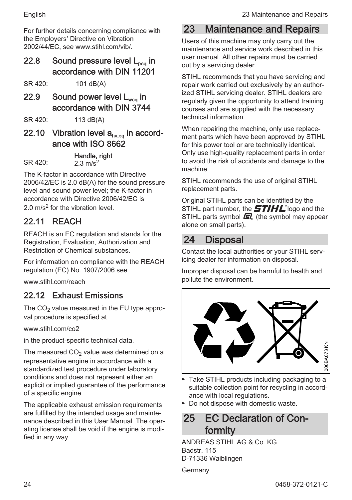<span id="page-23-0"></span>For further details concerning compliance with the Employers' Directive on Vibration 2002/44/FC, see www.stihl.com/vib/

22.8 Sound pressure level  $L_{\text{p}}$  in accordance with DIN 11201

SR 420: 101 dB(A)

22.9 Sound power level  $L_{\text{wee}}$  in accordance with DIN 3744

SR 420: 113 dB(A)

22.10 Vibration level  $a_{h\nu,eq}$  in accordance with ISO 8662

Handle, right<br>SR 420:  $\frac{9.3 \text{ m/s}^2}{2.3 \text{ m/s}^2}$  $2.3 \, \text{m/s}^2$ 

The K-factor in accordance with Directive 2006/42/EC is 2.0 dB(A) for the sound pressure level and sound power level; the K‑factor in accordance with Directive 2006/42/EC is 2.0 m/s<sup>2</sup> for the vibration level.

# 22.11 REACH

REACH is an EC regulation and stands for the Registration, Evaluation, Authorization and Restriction of Chemical substances.

For information on compliance with the REACH regulation (EC) No. 1907/2006 see

www.stihl.com/reach

# 22.12 Exhaust Emissions

The  $CO<sub>2</sub>$  value measured in the EU type approval procedure is specified at

www.stihl.com/co2

in the product-specific technical data.

The measured  $CO<sub>2</sub>$  value was determined on a representative engine in accordance with a standardized test procedure under laboratory conditions and does not represent either an explicit or implied guarantee of the performance of a specific engine.

The applicable exhaust emission requirements are fulfilled by the intended usage and mainte‐ nance described in this User Manual. The oper‐ ating license shall be void if the engine is modi‐ fied in any way.

# 23 Maintenance and Repairs

Users of this machine may only carry out the maintenance and service work described in this user manual. All other repairs must be carried out by a servicing dealer.

STIHL recommends that you have servicing and repair work carried out exclusively by an author‐ ized STIHL servicing dealer. STIHL dealers are regularly given the opportunity to attend training courses and are supplied with the necessary technical information.

When repairing the machine, only use replacement parts which have been approved by STIHL for this power tool or are technically identical. Only use high-quality replacement parts in order to avoid the risk of accidents and damage to the machine.

STIHL recommends the use of original STIHL replacement parts.

Original STIHL parts can be identified by the STIHL part number, the  $\boldsymbol{STIHL}$  logo and the STIHL parts symbol  $\mathbf{F}$  (the symbol may appear alone on small parts).

# 24 Disposal

Contact the local authorities or your STIHL serv‐ icing dealer for information on disposal.

Improper disposal can be harmful to health and pollute the environment.



- ► Take STIHL products including packaging to a suitable collection point for recycling in accord‐ ance with local regulations.
- ► Do not dispose with domestic waste.

# 25 **FC Declaration of Con**formity

ANDREAS STIHL AG & Co. KG Badstr. 115 D-71336 Waiblingen

Germany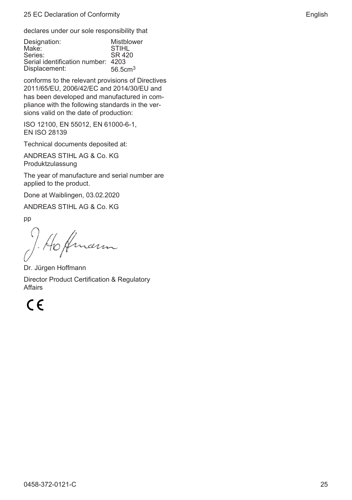<span id="page-24-0"></span>declares under our sole responsibility that

| Mistblower<br><b>STIHL</b><br>SR 420<br>Serial identification number: 4203 |
|----------------------------------------------------------------------------|
| 56.5cm <sup>3</sup>                                                        |
|                                                                            |

conforms to the relevant provisions of Directives 2011/65/EU, 2006/42/EC and 2014/30/EU and has been developed and manufactured in compliance with the following standards in the ver‐ sions valid on the date of production:

ISO 12100, EN 55012, EN 61000‑6‑1, EN ISO 28139

Technical documents deposited at:

ANDREAS STIHL AG & Co. KG Produktzulassung

The year of manufacture and serial number are applied to the product.

Done at Waiblingen, 03.02.2020

ANDREAS STIHL AG & Co. KG

pp

to Amarin

Dr. Jürgen Hoffmann Director Product Certification & Regulatory Affairs

 $C \in$